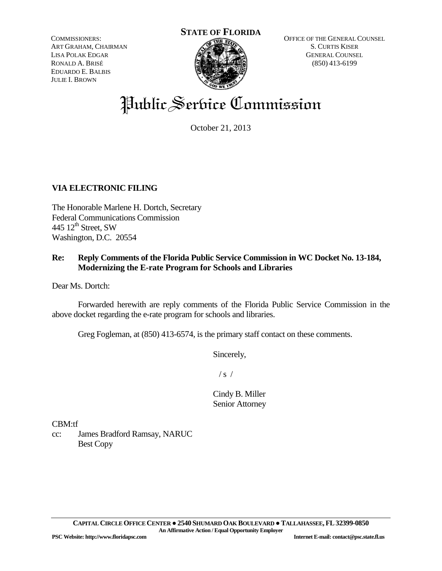COMMISSIONERS: ART GRAHAM, CHAIRMAN LISA POLAK EDGAR RONALD A. BRISÉ EDUARDO E. BALBIS JULIE I. BROWN



OFFICE OF THE GENERAL COUNSEL S. CURTIS KISER GENERAL COUNSEL (850) 413-6199

# Public Service Commission

October 21, 2013

## **VIA ELECTRONIC FILING**

The Honorable Marlene H. Dortch, Secretary Federal Communications Commission 445  $12^{\text{th}}$  Street, SW Washington, D.C. 20554

### **Re: Reply Comments of the Florida Public Service Commission in WC Docket No. 13-184, Modernizing the E-rate Program for Schools and Libraries**

Dear Ms. Dortch:

Forwarded herewith are reply comments of the Florida Public Service Commission in the above docket regarding the e-rate program for schools and libraries.

Greg Fogleman, at (850) 413-6574, is the primary staff contact on these comments.

Sincerely,

 $/ s /$ 

Cindy B. Miller Senior Attorney

CBM:tf

cc: James Bradford Ramsay, NARUC Best Copy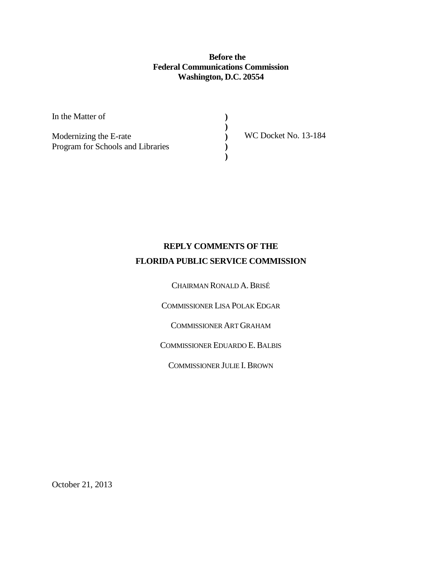**Before the Federal Communications Commission Washington, D.C. 20554**

> **) ) ) ) )**

In the Matter of

Modernizing the E-rate Program for Schools and Libraries WC Docket No. 13-184

# **REPLY COMMENTS OF THE FLORIDA PUBLIC SERVICE COMMISSION**

CHAIRMAN RONALD A.BRISÉ

COMMISSIONER LISA POLAK EDGAR

COMMISSIONER ART GRAHAM

COMMISSIONER EDUARDO E.BALBIS

COMMISSIONER JULIE I. BROWN

October 21, 2013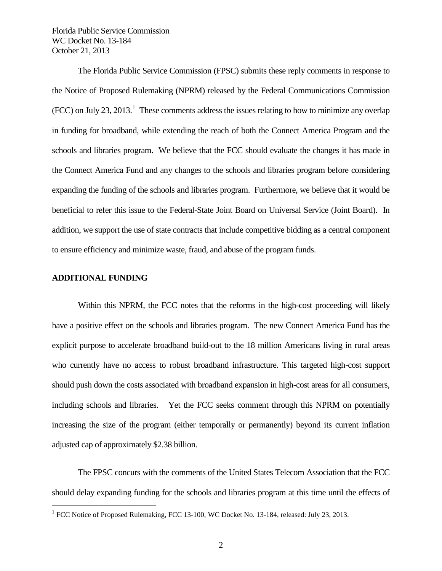The Florida Public Service Commission (FPSC) submits these reply comments in response to the Notice of Proposed Rulemaking (NPRM) released by the Federal Communications Commission  $(FCC)$  on July 23, 20[1](#page-2-0)3.<sup>1</sup> These comments address the issues relating to how to minimize any overlap in funding for broadband, while extending the reach of both the Connect America Program and the schools and libraries program. We believe that the FCC should evaluate the changes it has made in the Connect America Fund and any changes to the schools and libraries program before considering expanding the funding of the schools and libraries program. Furthermore, we believe that it would be beneficial to refer this issue to the Federal-State Joint Board on Universal Service (Joint Board). In addition, we support the use of state contracts that include competitive bidding as a central component to ensure efficiency and minimize waste, fraud, and abuse of the program funds.

#### **ADDITIONAL FUNDING**

Within this NPRM, the FCC notes that the reforms in the high-cost proceeding will likely have a positive effect on the schools and libraries program. The new Connect America Fund has the explicit purpose to accelerate broadband build-out to the 18 million Americans living in rural areas who currently have no access to robust broadband infrastructure. This targeted high-cost support should push down the costs associated with broadband expansion in high-cost areas for all consumers, including schools and libraries. Yet the FCC seeks comment through this NPRM on potentially increasing the size of the program (either temporally or permanently) beyond its current inflation adjusted cap of approximately \$2.38 billion.

The FPSC concurs with the comments of the United States Telecom Association that the FCC should delay expanding funding for the schools and libraries program at this time until the effects of

<span id="page-2-0"></span><sup>&</sup>lt;sup>1</sup> FCC Notice of Proposed Rulemaking, FCC 13-100, WC Docket No. 13-184, released: July 23, 2013.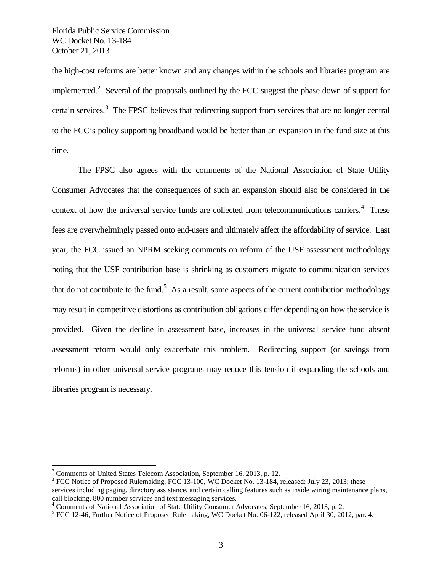the high-cost reforms are better known and any changes within the schools and libraries program are implemented.<sup>[2](#page-3-0)</sup> Several of the proposals outlined by the FCC suggest the phase down of support for certain services.<sup>[3](#page-3-1)</sup> The FPSC believes that redirecting support from services that are no longer central to the FCC's policy supporting broadband would be better than an expansion in the fund size at this time.

The FPSC also agrees with the comments of the National Association of State Utility Consumer Advocates that the consequences of such an expansion should also be considered in the context of how the universal service funds are collected from telecommunications carriers.<sup>[4](#page-3-2)</sup> These fees are overwhelmingly passed onto end-users and ultimately affect the affordability of service. Last year, the FCC issued an NPRM seeking comments on reform of the USF assessment methodology noting that the USF contribution base is shrinking as customers migrate to communication services that do not contribute to the fund.<sup>[5](#page-3-3)</sup> As a result, some aspects of the current contribution methodology may result in competitive distortions as contribution obligations differ depending on how the service is provided. Given the decline in assessment base, increases in the universal service fund absent assessment reform would only exacerbate this problem. Redirecting support (or savings from reforms) in other universal service programs may reduce this tension if expanding the schools and libraries program is necessary.

<span id="page-3-1"></span>

<span id="page-3-0"></span><sup>&</sup>lt;sup>2</sup> Comments of United States Telecom Association, September 16, 2013, p. 12.<br><sup>3</sup> FCC Notice of Proposed Rulemaking, FCC 13-100, WC Docket No. 13-184, released: July 23, 2013; these services including paging, directory assistance, and certain calling features such as inside wiring maintenance plans, call blocking, 800 number services and text messaging services.<br>
<sup>4</sup> Comments of National Association of State Utility Consumer Advocates, September 16, 2013, p. 2.<br>
<sup>5</sup> FCC 12-46, Further Notice of Proposed Rulemaking, WC

<span id="page-3-2"></span>

<span id="page-3-3"></span>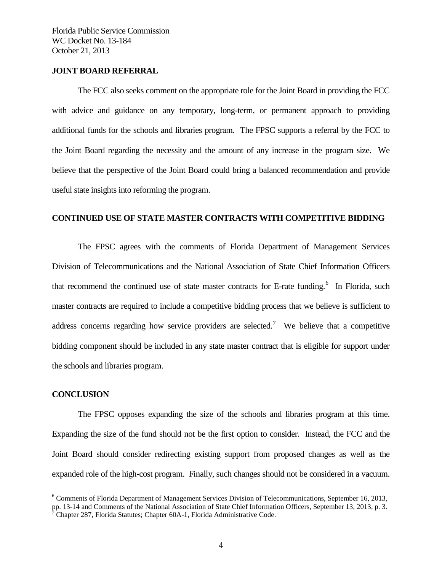#### **JOINT BOARD REFERRAL**

The FCC also seeks comment on the appropriate role for the Joint Board in providing the FCC with advice and guidance on any temporary, long-term, or permanent approach to providing additional funds for the schools and libraries program. The FPSC supports a referral by the FCC to the Joint Board regarding the necessity and the amount of any increase in the program size. We believe that the perspective of the Joint Board could bring a balanced recommendation and provide useful state insights into reforming the program.

#### **CONTINUED USE OF STATE MASTER CONTRACTS WITH COMPETITIVE BIDDING**

The FPSC agrees with the comments of Florida Department of Management Services Division of Telecommunications and the National Association of State Chief Information Officers that recommend the continued use of state master contracts for E-rate funding.<sup>[6](#page-4-0)</sup> In Florida, such master contracts are required to include a competitive bidding process that we believe is sufficient to address concerns regarding how service providers are selected.<sup>[7](#page-4-1)</sup> We believe that a competitive bidding component should be included in any state master contract that is eligible for support under the schools and libraries program.

#### **CONCLUSION**

The FPSC opposes expanding the size of the schools and libraries program at this time. Expanding the size of the fund should not be the first option to consider. Instead, the FCC and the Joint Board should consider redirecting existing support from proposed changes as well as the expanded role of the high-cost program. Finally, such changes should not be considered in a vacuum.

<span id="page-4-0"></span> <sup>6</sup> Comments of Florida Department of Management Services Division of Telecommunications, September 16, 2013, pp. 13-14 and Comments of the National Association of State Chief Information Officers, September 13, 2013, p. 3.<br><sup>7</sup> Chapter 287, Florida Statutes; Chapter 60A-1, Florida Administrative Code.

<span id="page-4-1"></span>